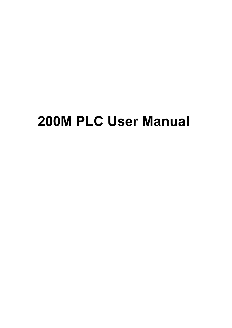# **200M PLC User Manual**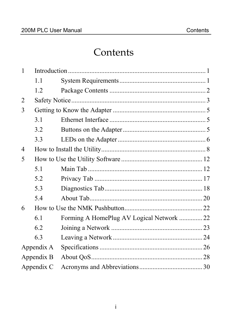### Contents

| $\mathbf{1}$   |            |                                          |  |
|----------------|------------|------------------------------------------|--|
|                | 1.1        |                                          |  |
|                | 1.2        |                                          |  |
| $\overline{2}$ |            |                                          |  |
| 3              |            |                                          |  |
|                | 3.1        |                                          |  |
|                | 3.2        |                                          |  |
|                | 3.3        |                                          |  |
| $\overline{4}$ |            |                                          |  |
| 5              |            |                                          |  |
|                | 5.1        |                                          |  |
|                | 5.2        |                                          |  |
|                | 5.3        |                                          |  |
|                | 5.4        |                                          |  |
| 6              |            |                                          |  |
|                | 6.1        | Forming A HomePlug AV Logical Network 22 |  |
|                | 6.2        |                                          |  |
|                | 6.3        |                                          |  |
|                | Appendix A |                                          |  |
|                | Appendix B |                                          |  |
| Appendix C     |            |                                          |  |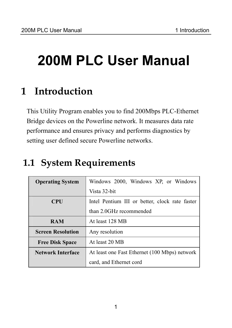# **200M PLC User Manual**

# **1 Introduction**

This Utility Program enables you to find 200Mbps PLC-Ethernet Bridge devices on the Powerline network. It measures data rate performance and ensures privacy and performs diagnostics by setting user defined secure Powerline networks.

# **1.1 System Requirements**

| <b>Operating System</b>  | Windows 2000, Windows XP, or Windows           |  |  |
|--------------------------|------------------------------------------------|--|--|
|                          | Vista 32-bit                                   |  |  |
| <b>CPU</b>               | Intel Pentium III or better, clock rate faster |  |  |
|                          | than 2.0GHz recommended                        |  |  |
| <b>RAM</b>               | At least 128 MB                                |  |  |
| <b>Screen Resolution</b> | Any resolution                                 |  |  |
| <b>Free Disk Space</b>   | At least 20 MB                                 |  |  |
| Network Interface        | At least one Fast Ethernet (100 Mbps) network  |  |  |
|                          | card, and Ethernet cord                        |  |  |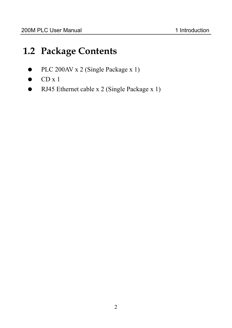## **1.2 Package Contents**

- PLC 200AV x 2 (Single Package x 1)
- $CD x 1$
- RJ45 Ethernet cable x 2 (Single Package x 1)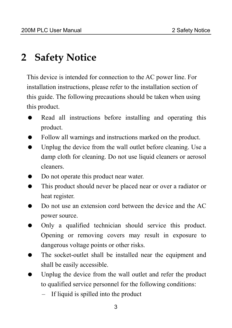# **2 Safety Notice**

This device is intended for connection to the AC power line. For installation instructions, please refer to the installation section of this guide. The following precautions should be taken when using this product.

- Read all instructions before installing and operating this product.
- Follow all warnings and instructions marked on the product.
- Unplug the device from the wall outlet before cleaning. Use a damp cloth for cleaning. Do not use liquid cleaners or aerosol cleaners.
- Do not operate this product near water.
- This product should never be placed near or over a radiator or heat register.
- Do not use an extension cord between the device and the AC power source.
- Only a qualified technician should service this product. Opening or removing covers may result in exposure to dangerous voltage points or other risks.
- The socket-outlet shall be installed near the equipment and shall be easily accessible.
- Unplug the device from the wall outlet and refer the product to qualified service personnel for the following conditions:
	- If liquid is spilled into the product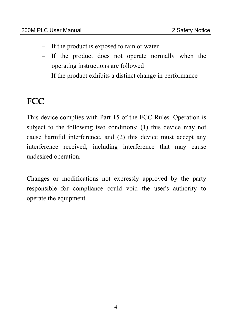- If the product is exposed to rain or water
- If the product does not operate normally when the operating instructions are followed
- If the product exhibits a distinct change in performance

## **FCC**

This device complies with Part 15 of the FCC Rules. Operation is subject to the following two conditions: (1) this device may not cause harmful interference, and (2) this device must accept any interference received, including interference that may cause undesired operation.

Changes or modifications not expressly approved by the party responsible for compliance could void the user's authority to operate the equipment.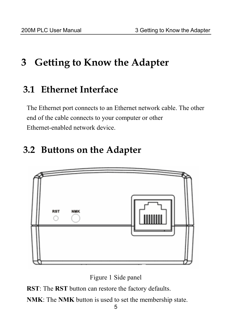# **3 Getting to Know the Adapter**

#### **3.1 Ethernet Interface**

The Ethernet port connects to an Ethernet network cable. The other end of the cable connects to your computer or other Ethernet-enabled network device.

### **3.2 Buttons on the Adapter**



Figure 1 Side panel

**RST**: The **RST** button can restore the factory defaults.

**NMK**: The **NMK** button is used to set the membership state.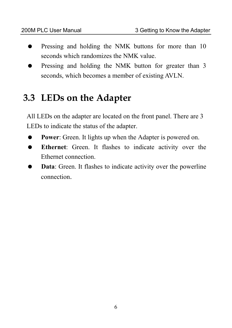- Pressing and holding the NMK buttons for more than 10 seconds which randomizes the NMK value.
- Pressing and holding the NMK button for greater than 3 seconds, which becomes a member of existing AVLN.

### **3.3 LEDs on the Adapter**

All LEDs on the adapter are located on the front panel. There are 3 LEDs to indicate the status of the adapter.

- **Power**: Green. It lights up when the Adapter is powered on.
- **Ethernet**: Green. It flashes to indicate activity over the Ethernet connection.
- **Data:** Green. It flashes to indicate activity over the powerline connection.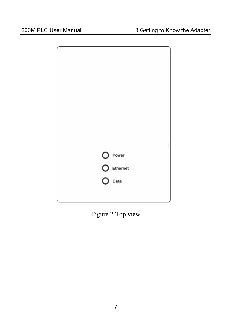

Figure 2 Top view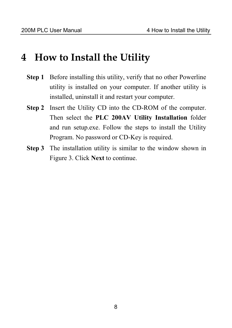### **4 How to Install the Utility**

- **Step 1** Before installing this utility, verify that no other Powerline utility is installed on your computer. If another utility is installed, uninstall it and restart your computer.
- **Step 2** Insert the Utility CD into the CD-ROM of the computer. Then select the **PLC 200AV Utility Installation** folder and run setup.exe. Follow the steps to install the Utility Program. No password or CD-Key is required.
- **Step 3** The installation utility is similar to the window shown in Figure 3. Click **Next** to continue.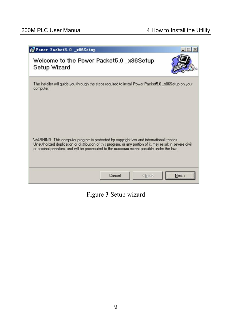| Power Packet5.0 x86Setup                                                                                                                                                                                                                                                                              |        |        |        |
|-------------------------------------------------------------------------------------------------------------------------------------------------------------------------------------------------------------------------------------------------------------------------------------------------------|--------|--------|--------|
| Welcome to the Power Packet5.0 x86Setup<br>Setup Wizard                                                                                                                                                                                                                                               |        |        |        |
| The installer will guide you through the steps required to install Power Packet5.0 _x86Setup on your<br>computer.                                                                                                                                                                                     |        |        |        |
| WARNING: This computer program is protected by copyright law and international treaties.<br>Unauthorized duplication or distribution of this program, or any portion of it, may result in severe civil<br>or criminal penalties, and will be prosecuted to the maximum extent possible under the law. |        |        |        |
|                                                                                                                                                                                                                                                                                                       | Cancel | < Back | Next > |

Figure 3 Setup wizard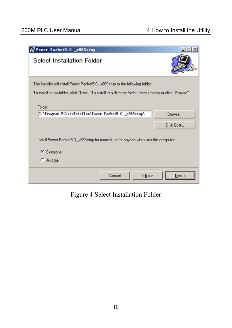| Power Packet5.0 _x86Setup                                                    |                                                                                                              | $\vert x \vert$ |
|------------------------------------------------------------------------------|--------------------------------------------------------------------------------------------------------------|-----------------|
| <b>Select Installation Folder</b>                                            |                                                                                                              |                 |
| The installer will install Power Packet5.0_x86Setup to the following folder. | To install in this folder, click "Next". To install to a different folder, enter it below or click "Browse". |                 |
| Folder:<br>C:\Program Files\Intellon\Power Packet5.0 _x86Setup\              |                                                                                                              | Browse          |
|                                                                              |                                                                                                              | Disk Cost       |
|                                                                              | Install Power Packet5.0_x86Setup for yourself, or for anyone who uses this computer:                         |                 |
| $C$ Everyone                                                                 |                                                                                                              |                 |
| <b>C</b> Just me                                                             |                                                                                                              |                 |
|                                                                              | < Back<br>Cancel                                                                                             | Next >          |

Figure 4 Select Installation Folder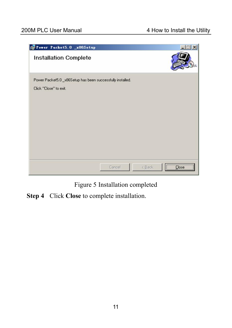

Figure 5 Installation completed

**Step 4** Click **Close** to complete installation.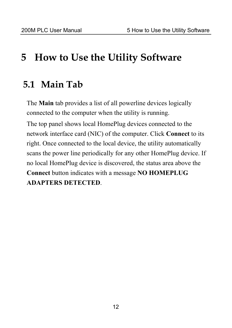## **5 How to Use the Utility Software**

#### **5.1 Main Tab**

The **Main** tab provides a list of all powerline devices logically connected to the computer when the utility is running. The top panel shows local HomePlug devices connected to the network interface card (NIC) of the computer. Click **Connect** to its right. Once connected to the local device, the utility automatically scans the power line periodically for any other HomePlug device. If no local HomePlug device is discovered, the status area above the **Connect** button indicates with a message **NO HOMEPLUG ADAPTERS DETECTED**.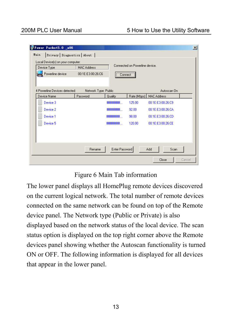| Power Packet5.0 x86<br>Main<br>Privacy   Diagnostics   About  <br>Local Device(s) on your computer:<br>Device Type<br>Powerline device | <b>MAC Address</b><br>00:1E:E3:00:26:C6 | --------------------------<br>Connect | Connected on Powerline device. |                    | $\vert x \vert$ |
|----------------------------------------------------------------------------------------------------------------------------------------|-----------------------------------------|---------------------------------------|--------------------------------|--------------------|-----------------|
| 4 Powerline Devices detected:                                                                                                          | Network Type: Public                    |                                       |                                | Autoscan On        |                 |
| Device Name                                                                                                                            | Password                                | Quality                               | Rate (Mbps)                    | <b>MAC Address</b> |                 |
| Device 3                                                                                                                               |                                         | <b>THE REAL PROPERTY AND REAL</b>     | 125.00                         | 00:1E:E3:00:26:C9  |                 |
| Device 2                                                                                                                               |                                         | <b>THE REAL PROPERTY AND REAL</b>     | 92.00                          | 00:1E:E3:00:26:CA  |                 |
| Device 1                                                                                                                               |                                         | <b>THE REAL PROPERTY AND LOCAL</b>    | 98.00                          | 00:1E:E3:00:26:CD  |                 |
| Device 5                                                                                                                               |                                         | <b>HIIIIIIIIIIIIIIII</b> IIII         | 120.00                         | 00:1E:E3:00:26:CE  |                 |
|                                                                                                                                        | Rename                                  | Enter Password                        |                                | Scan<br>Add        |                 |
|                                                                                                                                        |                                         |                                       |                                | Close              | Cancel          |

#### Figure 6 Main Tab information

The lower panel displays all HomePlug remote devices discovered on the current logical network. The total number of remote devices connected on the same network can be found on top of the Remote device panel. The Network type (Public or Private) is also displayed based on the network status of the local device. The scan status option is displayed on the top right corner above the Remote devices panel showing whether the Autoscan functionality is turned ON or OFF. The following information is displayed for all devices that appear in the lower panel.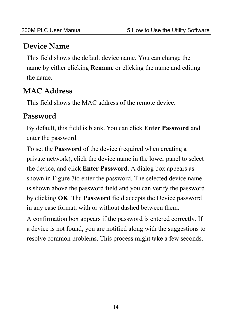#### **Device Name**

This field shows the default device name. You can change the name by either clicking **Rename** or clicking the name and editing the name.

#### **MAC Address**

This field shows the MAC address of the remote device.

#### **Password**

By default, this field is blank. You can click **Enter Password** and enter the password.

To set the **Password** of the device (required when creating a private network), click the device name in the lower panel to select the device, and click **Enter Password**. A dialog box appears as shown in Figure 7to enter the password. The selected device name is shown above the password field and you can verify the password by clicking **OK**. The **Password** field accepts the Device password in any case format, with or without dashed between them.

A confirmation box appears if the password is entered correctly. If a device is not found, you are notified along with the suggestions to resolve common problems. This process might take a few seconds.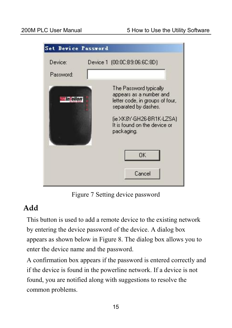

Figure 7 Setting device password

#### **Add**

This button is used to add a remote device to the existing network by entering the device password of the device. A dialog box appears as shown below in Figure 8. The dialog box allows you to enter the device name and the password.

A confirmation box appears if the password is entered correctly and if the device is found in the powerline network. If a device is not found, you are notified along with suggestions to resolve the common problems.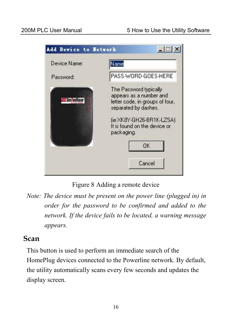

Figure 8 Adding a remote device

*Note: The device must be present on the power line (plugged in) in order for the password to be confirmed and added to the network. If the device fails to be located, a warning message appears.* 

#### **Scan**

This button is used to perform an immediate search of the HomePlug devices connected to the Powerline network. By default, the utility automatically scans every few seconds and updates the display screen.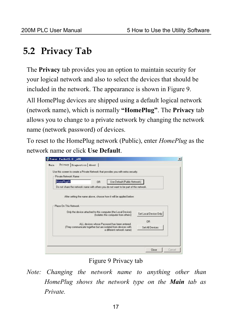## **5.2 Privacy Tab**

The **Privacy** tab provides you an option to maintain security for your logical network and also to select the devices that should be included in the network. The appearance is shown in Figure 9.

All HomePlug devices are shipped using a default logical network (network name), which is normally **"HomePlug"**. The **Privacy** tab allows you to change to a private network by changing the network name (network password) of devices.

To reset to the HomePlug network (Public), enter *HomePlug* as the network name or click **Use Default**.

| HomePlugAV                                                                            | 0 <sub>R</sub> | Use Default (Public Network)                                  |                       |
|---------------------------------------------------------------------------------------|----------------|---------------------------------------------------------------|-----------------------|
| Do not share the network name with others you do not want to be part of this network. |                |                                                               |                       |
| Place On This Network                                                                 |                | Only the device attached to this computer (the Local Device). |                       |
|                                                                                       |                | (Isolates this computer from others);                         | Set Local Device Only |

Figure 9 Privacy tab

*Note: Changing the network name to anything other than HomePlug shows the network type on the Main tab as Private.*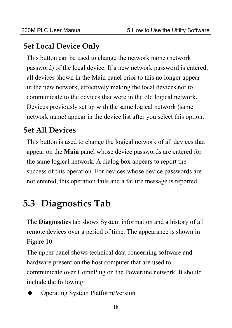#### **Set Local Device Only**

This button can be used to change the network name (network password) of the local device. If a new network password is entered, all devices shown in the Main panel prior to this no longer appear in the new network, effectively making the local devices not to communicate to the devices that were in the old logical network. Devices previously set up with the same logical network (same network name) appear in the device list after you select this option.

#### **Set All Devices**

This button is used to change the logical network of all devices that appear on the **Main** panel whose device passwords are entered for the same logical network. A dialog box appears to report the success of this operation. For devices whose device passwords are not entered, this operation fails and a failure message is reported.

## **5.3 Diagnostics Tab**

The **Diagnostics** tab shows System information and a history of all remote devices over a period of time. The appearance is shown in Figure 10.

The upper panel shows technical data concerning software and hardware present on the host computer that are used to communicate over HomePlug on the Powerline network. It should include the following:

Operating System Platform/Version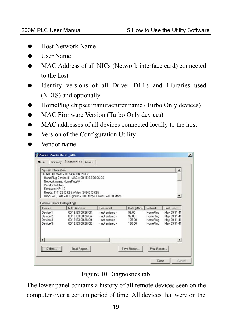- **•** Host Network Name
- $\bullet$  User Name
- MAC Address of all NICs (Network interface card) connected to the host
- Identify versions of all Driver DLLs and Libraries used (NDIS) and optionally
- HomePlug chipset manufacturer name (Turbo Only devices)
- MAC Firmware Version (Turbo Only devices)
- MAC addresses of all devices connected locally to the host
- Version of the Configuration Utility
- Vendor name

| System Information<br>Vendor: Intellon<br>Firmware: HP 1.0 | Dn NIC #1 MAC = 00:1A:A0:3A:26:F7<br>HomePlug Device #1 MAC = 00:1E:E3:00:26:C6<br>Network name: HomePlugAV<br>Reads: 111129 (0 KB), Writes: 34840 (0 KB)<br>Drops = 0, Fails = 0, Highest = 0.00 Mbps. Lowest = 0.00 Mbps |                                                                          |                                    |                                                     | $\blacktriangledown$                                         |
|------------------------------------------------------------|----------------------------------------------------------------------------------------------------------------------------------------------------------------------------------------------------------------------------|--------------------------------------------------------------------------|------------------------------------|-----------------------------------------------------|--------------------------------------------------------------|
| Remote Device History (Log)<br>Device                      | <b>MAC Address</b>                                                                                                                                                                                                         | Password                                                                 | Rate (Mbps)                        | Network                                             | Last Seen                                                    |
| Device 1<br>Device 2<br>Device 3<br>Device 5               | 00:1E:E3:00:26:CD<br>00:1E:E3:00:26:CA<br>00:1E:E3:00:26:C9<br>00:1E:E3:00:26:CE                                                                                                                                           | · not entered -<br>- not entered -<br>· not entered ·<br>- not entered - | 98.00<br>92.00<br>125.00<br>120.00 | HomePlug<br><b>HomePlug</b><br>HomePlug<br>HomePlug | May 09 11:41<br>May 09 11:41<br>May 09 11:41<br>May 09 11:41 |
| $\lceil$                                                   |                                                                                                                                                                                                                            |                                                                          |                                    |                                                     | $\cdot$                                                      |

Figure 10 Diagnostics tab

The lower panel contains a history of all remote devices seen on the computer over a certain period of time. All devices that were on the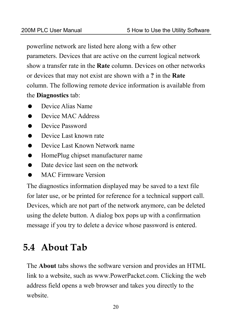powerline network are listed here along with a few other parameters. Devices that are active on the current logical network show a transfer rate in the **Rate** column. Devices on other networks or devices that may not exist are shown with a **?** in the **Rate** column. The following remote device information is available from the **Diagnostics** tab:

- Device Alias Name
- Device MAC Address
- Device Password
- Device Last known rate
- Device Last Known Network name
- HomePlug chipset manufacturer name
- Date device last seen on the network
- MAC Firmware Version

The diagnostics information displayed may be saved to a text file for later use, or be printed for reference for a technical support call. Devices, which are not part of the network anymore, can be deleted using the delete button. A dialog box pops up with a confirmation message if you try to delete a device whose password is entered.

## **5.4 About Tab**

The **About** tabs shows the software version and provides an HTML link to a website, such as www.PowerPacket.com. Clicking the web address field opens a web browser and takes you directly to the website.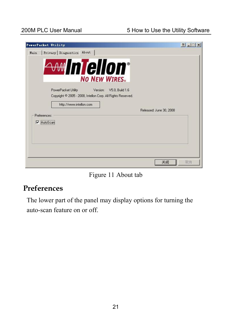| PowerPacket Utility                                               | $ ? $ - $ $ $\Box$ $\times$ |
|-------------------------------------------------------------------|-----------------------------|
| Privacy Diagnostics About<br>Main                                 |                             |
| <b>miellon</b><br>$\triangle$ $\triangle$ $\triangle$ $\triangle$ |                             |
| <b>NO NEW WIRES.</b>                                              |                             |
| PowerPacket Utility<br>Version:<br>V5.0, Build 1.6                |                             |
| Copyright © 2005 - 2008, Intellon Corp. All Rights Reserved.      |                             |
| http://www.intellon.com<br>Released: June 30, 2008                |                             |
| Preferences:                                                      |                             |
| V AutoScan                                                        |                             |
|                                                                   |                             |
|                                                                   |                             |
|                                                                   |                             |
| 关闭                                                                | 取消                          |

Figure 11 About tab

#### **Preferences**

The lower part of the panel may display options for turning the auto-scan feature on or off.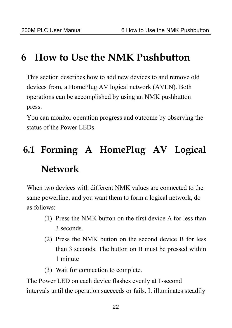## **6 How to Use the NMK Pushbutton**

This section describes how to add new devices to and remove old devices from, a HomePlug AV logical network (AVLN). Both operations can be accomplished by using an NMK pushbutton press.

You can monitor operation progress and outcome by observing the status of the Power LEDs.

# **6.1 Forming A HomePlug AV Logical Network**

When two devices with different NMK values are connected to the same powerline, and you want them to form a logical network, do as follows:

- (1) Press the NMK button on the first device A for less than 3 seconds.
- (2) Press the NMK button on the second device B for less than 3 seconds. The button on B must be pressed within 1 minute
- (3) Wait for connection to complete.

The Power LED on each device flashes evenly at 1-second intervals until the operation succeeds or fails. It illuminates steadily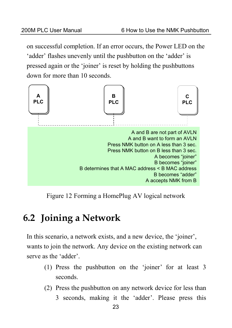on successful completion. If an error occurs, the Power LED on the 'adder' flashes unevenly until the pushbutton on the 'adder' is pressed again or the 'joiner' is reset by holding the pushbuttons down for more than 10 seconds.



Figure 12 Forming a HomePlug AV logical network

## **6.2 Joining a Network**

In this scenario, a network exists, and a new device, the 'joiner', wants to join the network. Any device on the existing network can serve as the 'adder'.

- (1) Press the pushbutton on the 'joiner' for at least 3 seconds.
- (2) Press the pushbutton on any network device for less than 3 seconds, making it the 'adder'. Please press this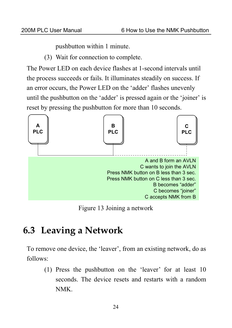pushbutton within 1 minute.

(3) Wait for connection to complete.

The Power LED on each device flashes at 1-second intervals until the process succeeds or fails. It illuminates steadily on success. If an error occurs, the Power LED on the 'adder' flashes unevenly until the pushbutton on the 'adder' is pressed again or the 'joiner' is reset by pressing the pushbutton for more than 10 seconds.



Figure 13 Joining a network

## **6.3 Leaving a Network**

To remove one device, the 'leaver', from an existing network, do as follows:

(1) Press the pushbutton on the 'leaver' for at least 10 seconds. The device resets and restarts with a random NMK.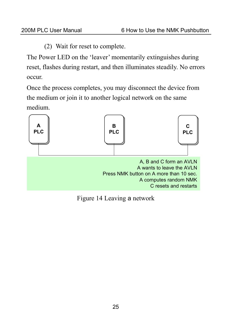(2) Wait for reset to complete.

The Power LED on the 'leaver' momentarily extinguishes during reset, flashes during restart, and then illuminates steadily. No errors occur.

Once the process completes, you may disconnect the device from the medium or join it to another logical network on the same medium.



Figure 14 Leaving a network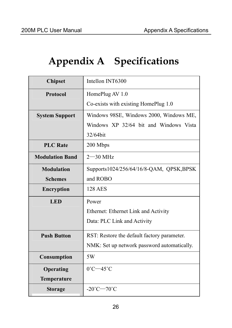# **Appendix A Specifications**

| <b>Chipset</b>         | Intellon INT6300                            |
|------------------------|---------------------------------------------|
| <b>Protocol</b>        | HomePlug AV 1.0                             |
|                        | Co-exists with existing HomePlug 1.0        |
| <b>System Support</b>  | Windows 98SE, Windows 2000, Windows ME,     |
|                        | Windows XP 32/64 bit and Windows Vista      |
|                        | 32/64bit                                    |
| <b>PLC</b> Rate        | 200 Mbps                                    |
| <b>Modulation Band</b> | $2 - 30$ MHz                                |
| <b>Modulation</b>      | Supports1024/256/64/16/8-QAM, QPSK, BPSK    |
| <b>Schemes</b>         | and ROBO                                    |
| <b>Encryption</b>      | <b>128 AES</b>                              |
| <b>LED</b>             | Power                                       |
|                        | Ethernet: Ethernet Link and Activity        |
|                        | Data: PLC Link and Activity                 |
| <b>Push Button</b>     | RST: Restore the default factory parameter. |
|                        | NMK: Set up network password automatically. |
| Consumption            | 5W                                          |
| Operating              | $0^{\circ}$ C $-45^{\circ}$ C               |
| Temperature            |                                             |
| <b>Storage</b>         | $-20^{\circ}$ C $-70^{\circ}$ C             |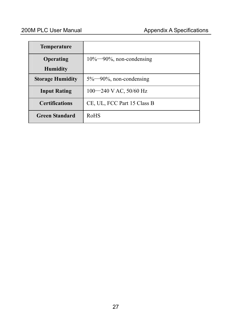| <b>Temperature</b>      |                                |
|-------------------------|--------------------------------|
| Operating               | $10\% - 90\%$ , non-condensing |
| <b>Humidity</b>         |                                |
| <b>Storage Humidity</b> | $5\%$ —90%, non-condensing     |
| <b>Input Rating</b>     | $100 - 240$ V AC, 50/60 Hz     |
| <b>Certifications</b>   | CE, UL, FCC Part 15 Class B    |
| <b>Green Standard</b>   | RoHS                           |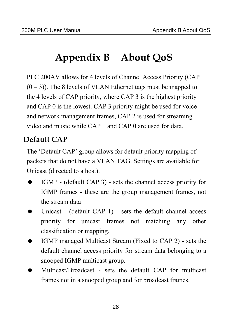## **Appendix B About QoS**

PLC 200AV allows for 4 levels of Channel Access Priority (CAP  $(0 - 3)$ ). The 8 levels of VLAN Ethernet tags must be mapped to the 4 levels of CAP priority, where CAP 3 is the highest priority and CAP 0 is the lowest. CAP 3 priority might be used for voice and network management frames, CAP 2 is used for streaming video and music while CAP 1 and CAP 0 are used for data.

#### **Default CAP**

The 'Default CAP' group allows for default priority mapping of packets that do not have a VLAN TAG. Settings are available for Unicast (directed to a host).

- IGMP (default CAP 3) sets the channel access priority for IGMP frames - these are the group management frames, not the stream data
- Unicast (default CAP 1) sets the default channel access priority for unicast frames not matching any other classification or mapping.
- IGMP managed Multicast Stream (Fixed to CAP 2) sets the default channel access priority for stream data belonging to a snooped IGMP multicast group.
- Multicast/Broadcast sets the default CAP for multicast frames not in a snooped group and for broadcast frames.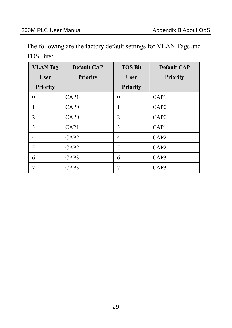The following are the factory default settings for VLAN Tags and TOS Bits:

| <b>VLAN</b> Tag | <b>Default CAP</b> | <b>TOS Bit</b>  | <b>Default CAP</b> |
|-----------------|--------------------|-----------------|--------------------|
| <b>User</b>     | <b>Priority</b>    | <b>User</b>     | <b>Priority</b>    |
| <b>Priority</b> |                    | <b>Priority</b> |                    |
| $\Omega$        | CAP <sub>1</sub>   | $\theta$        | CAP1               |
|                 | CAP <sub>0</sub>   | 1               | CAP <sub>0</sub>   |
| 2               | CAP0               | $\overline{c}$  | CAP <sub>0</sub>   |
| 3               | CAP1               | 3               | CAP1               |
| $\overline{4}$  | CAP <sub>2</sub>   | 4               | CAP <sub>2</sub>   |
| 5               | CAP <sub>2</sub>   | 5               | CAP <sub>2</sub>   |
| 6               | CAP3               | 6               | CAP3               |
|                 | CAP3               | 7               | CAP3               |